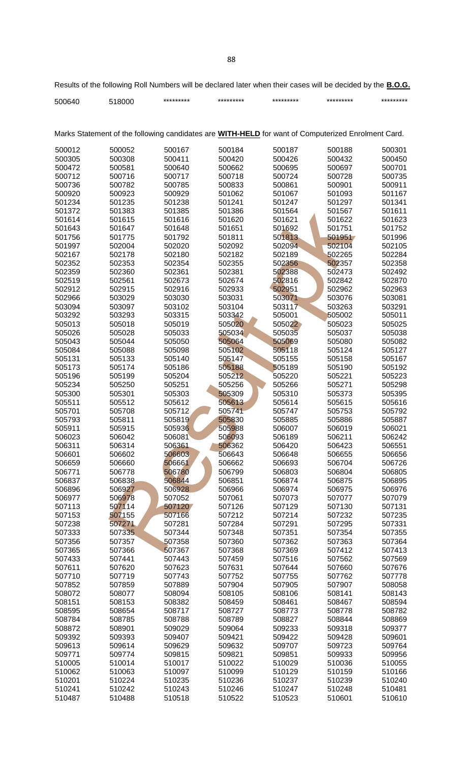| 500640                                                                                                    | 518000           | *********        | *********        | *********        | *********        | *********        |  |  |  |  |  |
|-----------------------------------------------------------------------------------------------------------|------------------|------------------|------------------|------------------|------------------|------------------|--|--|--|--|--|
|                                                                                                           |                  |                  |                  |                  |                  |                  |  |  |  |  |  |
| Marks Statement of the following candidates are <b>WITH-HELD</b> for want of Computerized Enrolment Card. |                  |                  |                  |                  |                  |                  |  |  |  |  |  |
| 500012                                                                                                    | 500052           | 500167           | 500184           | 500187           | 500188           | 500301           |  |  |  |  |  |
| 500305                                                                                                    | 500308           | 500411           | 500420           | 500426           | 500432           | 500450           |  |  |  |  |  |
| 500472                                                                                                    | 500581           | 500640           | 500662           | 500695           | 500697           | 500701           |  |  |  |  |  |
| 500712                                                                                                    | 500716           | 500717           | 500718           | 500724           | 500728           | 500735           |  |  |  |  |  |
| 500736                                                                                                    | 500782           | 500785           | 500833           | 500861           | 500901           | 500911           |  |  |  |  |  |
| 500920                                                                                                    | 500923           | 500929           | 501062           | 501067           | 501093           | 501167           |  |  |  |  |  |
| 501234                                                                                                    | 501235           | 501238           | 501241           | 501247           | 501297           | 501341           |  |  |  |  |  |
| 501372                                                                                                    | 501383           | 501385           | 501386           | 501564           | 501567           | 501611           |  |  |  |  |  |
| 501614                                                                                                    | 501615           | 501616           | 501620           | 501621           | 501622           | 501623           |  |  |  |  |  |
| 501643                                                                                                    | 501647           | 501648           | 501651           | 501692           | 501751           | 501752           |  |  |  |  |  |
| 501756                                                                                                    | 501775           | 501792           | 501811           | 501813           | 501951           | 501996           |  |  |  |  |  |
| 501997                                                                                                    | 502004           | 502020           | 502092           | 502094           | 502104           | 502105           |  |  |  |  |  |
| 502167                                                                                                    | 502178           | 502180           | 502182           | 502189           | 502265           | 502284           |  |  |  |  |  |
| 502352                                                                                                    | 502353           | 502354           | 502355           | 502356           | 502357           | 502358           |  |  |  |  |  |
| 502359                                                                                                    | 502360           | 502361           | 502381           | 502388           | 502473           | 502492           |  |  |  |  |  |
| 502519                                                                                                    | 502561           | 502673           | 502674           | 502816           | 502842           | 502870           |  |  |  |  |  |
| 502912                                                                                                    | 502915           | 502916           | 502933           | 502951           | 502962           | 502963           |  |  |  |  |  |
| 502966                                                                                                    | 503029           | 503030           | 503031           | 503071           | 503076           | 503081           |  |  |  |  |  |
| 503094                                                                                                    | 503097           | 503102           | 503104           | 503117           | 503263           | 503291           |  |  |  |  |  |
| 503292                                                                                                    | 503293           | 503315           | 503342           | 505001           | 505002           | 505011           |  |  |  |  |  |
| 505013                                                                                                    | 505018           | 505019           | 505020           | 505022           | 505023           | 505025           |  |  |  |  |  |
| 505026                                                                                                    | 505028           | 505033           | 505034           | 505035           | 505037           | 505038           |  |  |  |  |  |
| 505043                                                                                                    | 505044           | 505050           | 505064           | 505069           | 505080           | 505082           |  |  |  |  |  |
| 505084                                                                                                    | 505088           | 505098           | 505102           | 505118           | 505124           | 505127           |  |  |  |  |  |
| 505131                                                                                                    | 505133           | 505140           | 505147           | 505155           | 505158           | 505167           |  |  |  |  |  |
| 505173                                                                                                    | 505174           | 505186           | 505188           | 505189           | 505190           | 505192           |  |  |  |  |  |
| 505196                                                                                                    | 505199           | 505204           | 505212           | 505220           | 505221           | 505223           |  |  |  |  |  |
| 505234                                                                                                    | 505250           | 505251           | 505256           | 505266           | 505271           | 505298           |  |  |  |  |  |
| 505300                                                                                                    | 505301           | 505303           | 505309           | 505310           | 505373           | 505395           |  |  |  |  |  |
| 505511                                                                                                    | 505512           | 505612           | 505613           | 505614           | 505615           | 505616           |  |  |  |  |  |
| 505701                                                                                                    | 505708           | 505712           | 505741           | 505747           | 505753           | 505792           |  |  |  |  |  |
| 505793                                                                                                    | 505811           | 505819           | 505830           | 505885           | 505886           | 505887           |  |  |  |  |  |
| 505911                                                                                                    | 505915           | 505936           | 505988           | 506007           | 506019           | 506021           |  |  |  |  |  |
| 506023                                                                                                    | 506042           | 506081           | 506093           | 506189           | 506211           | 506242           |  |  |  |  |  |
| 506311                                                                                                    | 506314           | 506361           | 506362           | 506420           | 506423           | 506551           |  |  |  |  |  |
| 506601                                                                                                    | 506602           | 506603           | 506643           | 506648           | 506655           | 506656           |  |  |  |  |  |
| 506659                                                                                                    | 506660           | 506661           | 506662           | 506693           | 506704           | 506726           |  |  |  |  |  |
| 506771                                                                                                    | 506778           | 506780           | 506799           | 506803           | 506804           | 506805           |  |  |  |  |  |
| 506837                                                                                                    | 506838           | 506844           | 506851           | 506874           | 506875           | 506895           |  |  |  |  |  |
| 506896                                                                                                    | 506927           | 506928           | 506966           | 506974           | 506975           | 506976           |  |  |  |  |  |
| 506977                                                                                                    | 506978           | 507052           | 507061           | 507073           | 507077           | 507079           |  |  |  |  |  |
| 507113                                                                                                    | 507114           | 507120           | 507126           | 507129           | 507130           | 507131           |  |  |  |  |  |
| 507153                                                                                                    | 507155           | 507166           | 507212           | 507214           | 507232           | 507235           |  |  |  |  |  |
| 507238                                                                                                    | 507271           | 507281           | 507284           | 507291           | 507295           | 507331           |  |  |  |  |  |
| 507333                                                                                                    | 507335           | 507344           | 507348           | 507351           | 507354           | 507355           |  |  |  |  |  |
| 507356                                                                                                    | 507357           | 507358           | 507360           | 507362           | 507363           | 507364           |  |  |  |  |  |
| 507365<br>507433                                                                                          | 507366<br>507441 | 507367<br>507443 | 507368<br>507459 | 507369<br>507516 | 507412<br>507562 | 507413<br>507569 |  |  |  |  |  |
| 507611                                                                                                    | 507620           | 507623           | 507631           | 507644           | 507660           | 507676           |  |  |  |  |  |
| 507710                                                                                                    | 507719           | 507743           | 507752           | 507755           | 507762           | 507778           |  |  |  |  |  |
| 507852                                                                                                    | 507859           | 507889           | 507904           | 507905           | 507907           | 508058           |  |  |  |  |  |
| 508072                                                                                                    | 508077           | 508094           | 508105           | 508106           | 508141           | 508143           |  |  |  |  |  |
| 508151                                                                                                    | 508153           | 508382           | 508459           | 508461           | 508467           | 508594           |  |  |  |  |  |
| 508595                                                                                                    | 508654           | 508717           | 508727           | 508773           | 508778           | 508782           |  |  |  |  |  |
| 508784                                                                                                    | 508785           | 508788           | 508789           | 508827           | 508844           | 508869           |  |  |  |  |  |
| 508872                                                                                                    | 508901           | 509029           | 509064           | 509233           | 509318           | 509377           |  |  |  |  |  |
| 509392                                                                                                    | 509393           | 509407           | 509421           | 509422           | 509428           | 509601           |  |  |  |  |  |
| 509613                                                                                                    | 509614           | 509629           | 509632           | 509707           | 509723           | 509764           |  |  |  |  |  |
| 509771                                                                                                    | 509774           | 509815           | 509821           | 509851           | 509933           | 509956           |  |  |  |  |  |
| 510005                                                                                                    | 510014           | 510017           | 510022           | 510029           | 510036           | 510055           |  |  |  |  |  |
| 510062                                                                                                    | 510063           | 510097           | 510099           | 510129           | 510159           | 510166           |  |  |  |  |  |
| 510201                                                                                                    | 510224           | 510235           | 510236           | 510237           | 510239           | 510240           |  |  |  |  |  |
| 510241                                                                                                    | 510242           | 510243           | 510246           | 510247           | 510248           | 510481           |  |  |  |  |  |
| 510487                                                                                                    | 510488           | 510518           | 510522           | 510523           | 510601           | 510610           |  |  |  |  |  |

Results of the following Roll Numbers will be declared later when their cases will be decided by the **B.O.G.**